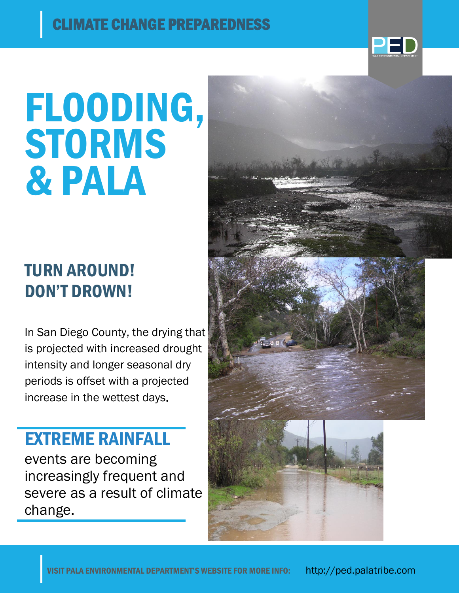

# FLOODING, **STORMS** & PALA

## TURN AROUND! DON'T DROWN!

In San Diego County, the drying that is projected with increased drought intensity and longer seasonal dry periods is offset with a projected increase in the wettest days.

## EXTREME RAINFALL

events are becoming increasingly frequent and severe as a result of climate change.